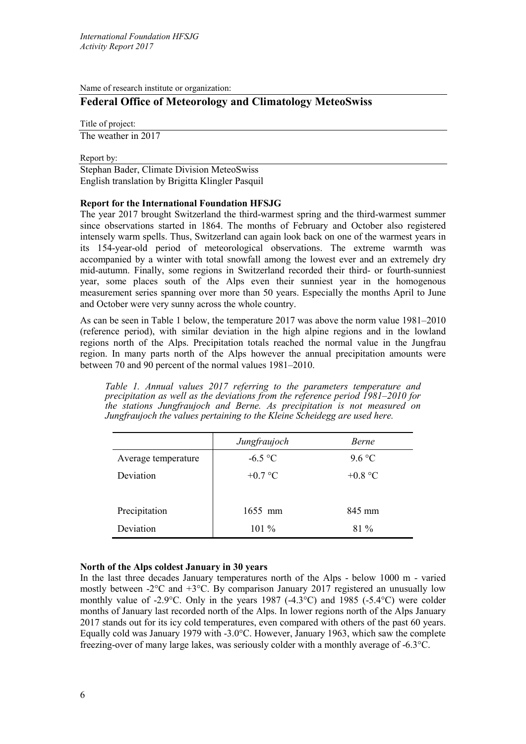Name of research institute or organization:

# **Federal Office of Meteorology and Climatology MeteoSwiss**

Title of project:

The weather in 2017

Report by:

Stephan Bader, Climate Division MeteoSwiss English translation by Brigitta Klingler Pasquil

# **Report for the International Foundation HFSJG**

The year 2017 brought Switzerland the third-warmest spring and the third-warmest summer since observations started in 1864. The months of February and October also registered intensely warm spells. Thus, Switzerland can again look back on one of the warmest years in its 154-year-old period of meteorological observations. The extreme warmth was accompanied by a winter with total snowfall among the lowest ever and an extremely dry mid-autumn. Finally, some regions in Switzerland recorded their third- or fourth-sunniest year, some places south of the Alps even their sunniest year in the homogenous measurement series spanning over more than 50 years. Especially the months April to June and October were very sunny across the whole country.

As can be seen in Table 1 below, the temperature 2017 was above the norm value 1981–2010 (reference period), with similar deviation in the high alpine regions and in the lowland regions north of the Alps. Precipitation totals reached the normal value in the Jungfrau region. In many parts north of the Alps however the annual precipitation amounts were between 70 and 90 percent of the normal values 1981–2010.

*Table 1. Annual values 2017 referring to the parameters temperature and precipitation as well as the deviations from the reference period 1981‒2010 for the stations Jungfraujoch and Berne. As precipitation is not measured on Jungfraujoch the values pertaining to the Kleine Scheidegg are used here.*

|                     | Jungfraujoch | <b>Berne</b>     |
|---------------------|--------------|------------------|
| Average temperature | $-6.5$ °C    | 9.6 °C           |
| Deviation           | $+0.7$ °C    | +0.8 $\degree$ C |
|                     |              |                  |
| Precipitation       | $1655$ mm    | 845 mm           |
| Deviation           | $101\%$      | $81\%$           |

# **North of the Alps coldest January in 30 years**

In the last three decades January temperatures north of the Alps - below 1000 m - varied mostly between -2°C and +3°C. By comparison January 2017 registered an unusually low monthly value of -2.9 $\degree$ C. Only in the years 1987 (-4.3 $\degree$ C) and 1985 (-5.4 $\degree$ C) were colder months of January last recorded north of the Alps. In lower regions north of the Alps January 2017 stands out for its icy cold temperatures, even compared with others of the past 60 years. Equally cold was January 1979 with -3.0°C. However, January 1963, which saw the complete freezing-over of many large lakes, was seriously colder with a monthly average of -6.3°C.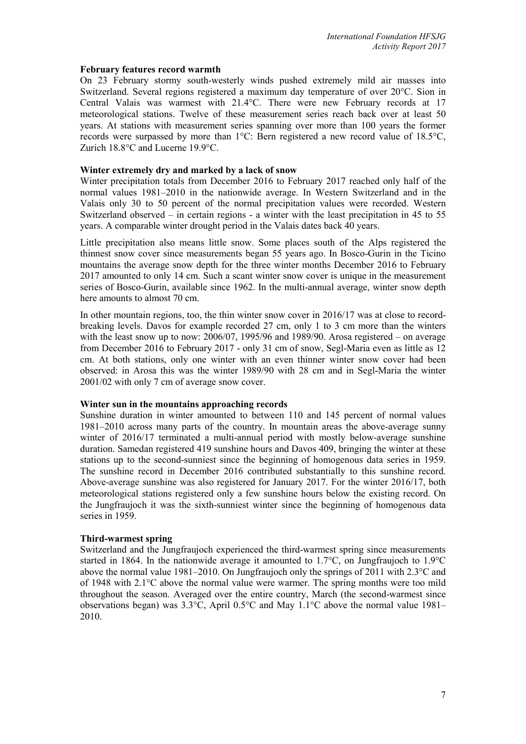#### **February features record warmth**

On 23 February stormy south-westerly winds pushed extremely mild air masses into Switzerland. Several regions registered a maximum day temperature of over 20°C. Sion in Central Valais was warmest with 21.4°C. There were new February records at 17 meteorological stations. Twelve of these measurement series reach back over at least 50 years. At stations with measurement series spanning over more than 100 years the former records were surpassed by more than 1°C: Bern registered a new record value of 18.5°C, Zurich 18.8°C and Lucerne 19.9°C.

## **Winter extremely dry and marked by a lack of snow**

Winter precipitation totals from December 2016 to February 2017 reached only half of the normal values 1981–2010 in the nationwide average. In Western Switzerland and in the Valais only 30 to 50 percent of the normal precipitation values were recorded. Western Switzerland observed – in certain regions - a winter with the least precipitation in 45 to 55 years. A comparable winter drought period in the Valais dates back 40 years.

Little precipitation also means little snow. Some places south of the Alps registered the thinnest snow cover since measurements began 55 years ago. In Bosco-Gurin in the Ticino mountains the average snow depth for the three winter months December 2016 to February 2017 amounted to only 14 cm. Such a scant winter snow cover is unique in the measurement series of Bosco-Gurin, available since 1962. In the multi-annual average, winter snow depth here amounts to almost 70 cm.

In other mountain regions, too, the thin winter snow cover in 2016/17 was at close to recordbreaking levels. Davos for example recorded 27 cm, only 1 to 3 cm more than the winters with the least snow up to now: 2006/07, 1995/96 and 1989/90. Arosa registered – on average from December 2016 to February 2017 - only 31 cm of snow, Segl-Maria even as little as 12 cm. At both stations, only one winter with an even thinner winter snow cover had been observed: in Arosa this was the winter 1989/90 with 28 cm and in Segl-Maria the winter 2001/02 with only 7 cm of average snow cover.

#### **Winter sun in the mountains approaching records**

Sunshine duration in winter amounted to between 110 and 145 percent of normal values 1981–2010 across many parts of the country. In mountain areas the above-average sunny winter of 2016/17 terminated a multi-annual period with mostly below-average sunshine duration. Samedan registered 419 sunshine hours and Davos 409, bringing the winter at these stations up to the second-sunniest since the beginning of homogenous data series in 1959. The sunshine record in December 2016 contributed substantially to this sunshine record. Above-average sunshine was also registered for January 2017. For the winter 2016/17, both meteorological stations registered only a few sunshine hours below the existing record. On the Jungfraujoch it was the sixth-sunniest winter since the beginning of homogenous data series in 1959.

# **Third-warmest spring**

Switzerland and the Jungfraujoch experienced the third-warmest spring since measurements started in 1864. In the nationwide average it amounted to 1.7°C, on Jungfraujoch to 1.9°C above the normal value 1981–2010. On Jungfraujoch only the springs of 2011 with 2.3°C and of 1948 with 2.1°C above the normal value were warmer. The spring months were too mild throughout the season. Averaged over the entire country, March (the second-warmest since observations began) was 3.3°C, April 0.5°C and May 1.1°C above the normal value 1981– 2010.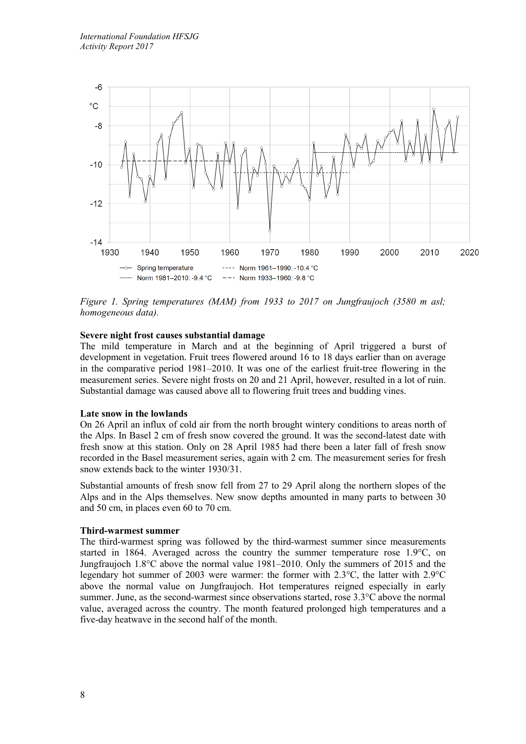

*Figure 1. Spring temperatures (MAM) from 1933 to 2017 on Jungfraujoch (3580 m asl; homogeneous data).*

# **Severe night frost causes substantial damage**

The mild temperature in March and at the beginning of April triggered a burst of development in vegetation. Fruit trees flowered around 16 to 18 days earlier than on average in the comparative period 1981–2010. It was one of the earliest fruit-tree flowering in the measurement series. Severe night frosts on 20 and 21 April, however, resulted in a lot of ruin. Substantial damage was caused above all to flowering fruit trees and budding vines.

#### **Late snow in the lowlands**

On 26 April an influx of cold air from the north brought wintery conditions to areas north of the Alps. In Basel 2 cm of fresh snow covered the ground. It was the second-latest date with fresh snow at this station. Only on 28 April 1985 had there been a later fall of fresh snow recorded in the Basel measurement series, again with 2 cm. The measurement series for fresh snow extends back to the winter 1930/31.

Substantial amounts of fresh snow fell from 27 to 29 April along the northern slopes of the Alps and in the Alps themselves. New snow depths amounted in many parts to between 30 and 50 cm, in places even 60 to 70 cm.

#### **Third-warmest summer**

The third-warmest spring was followed by the third-warmest summer since measurements started in 1864. Averaged across the country the summer temperature rose 1.9°C, on Jungfraujoch 1.8°C above the normal value 1981–2010. Only the summers of 2015 and the legendary hot summer of 2003 were warmer: the former with 2.3°C, the latter with 2.9°C above the normal value on Jungfraujoch. Hot temperatures reigned especially in early summer. June, as the second-warmest since observations started, rose 3.3°C above the normal value, averaged across the country. The month featured prolonged high temperatures and a five-day heatwave in the second half of the month.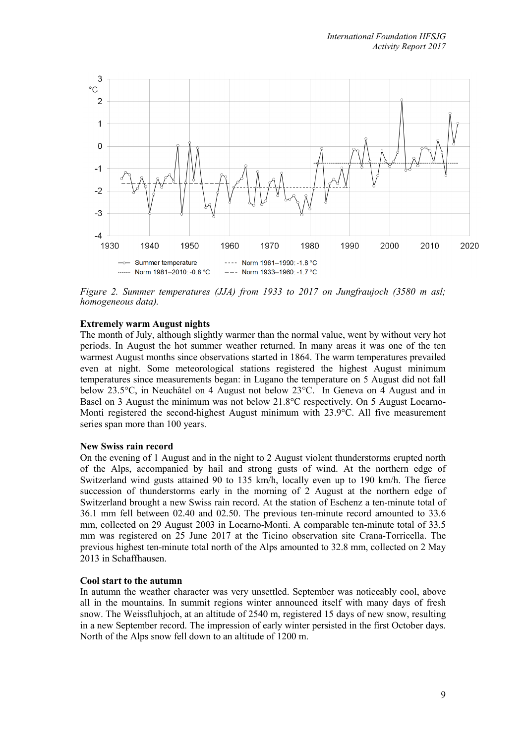

*Figure 2. Summer temperatures (JJA) from 1933 to 2017 on Jungfraujoch (3580 m asl; homogeneous data).*

### **Extremely warm August nights**

The month of July, although slightly warmer than the normal value, went by without very hot periods. In August the hot summer weather returned. In many areas it was one of the ten warmest August months since observations started in 1864. The warm temperatures prevailed even at night. Some meteorological stations registered the highest August minimum temperatures since measurements began: in Lugano the temperature on 5 August did not fall below 23.5°C, in Neuchâtel on 4 August not below 23°C. In Geneva on 4 August and in Basel on 3 August the minimum was not below 21.8°C respectively. On 5 August Locarno-Monti registered the second-highest August minimum with 23.9°C. All five measurement series span more than 100 years.

#### **New Swiss rain record**

On the evening of 1 August and in the night to 2 August violent thunderstorms erupted north of the Alps, accompanied by hail and strong gusts of wind. At the northern edge of Switzerland wind gusts attained 90 to 135 km/h, locally even up to 190 km/h. The fierce succession of thunderstorms early in the morning of 2 August at the northern edge of Switzerland brought a new Swiss rain record. At the station of Eschenz a ten-minute total of 36.1 mm fell between 02.40 and 02.50. The previous ten-minute record amounted to 33.6 mm, collected on 29 August 2003 in Locarno-Monti. A comparable ten-minute total of 33.5 mm was registered on 25 June 2017 at the Ticino observation site Crana-Torricella. The previous highest ten-minute total north of the Alps amounted to 32.8 mm, collected on 2 May 2013 in Schaffhausen.

#### **Cool start to the autumn**

In autumn the weather character was very unsettled. September was noticeably cool, above all in the mountains. In summit regions winter announced itself with many days of fresh snow. The Weissfluhjoch, at an altitude of 2540 m, registered 15 days of new snow, resulting in a new September record. The impression of early winter persisted in the first October days. North of the Alps snow fell down to an altitude of 1200 m.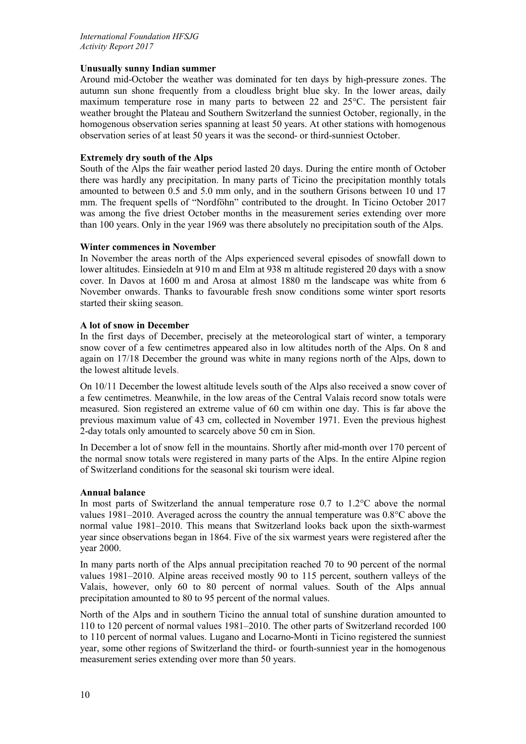# **Unusually sunny Indian summer**

Around mid-October the weather was dominated for ten days by high-pressure zones. The autumn sun shone frequently from a cloudless bright blue sky. In the lower areas, daily maximum temperature rose in many parts to between 22 and 25°C. The persistent fair weather brought the Plateau and Southern Switzerland the sunniest October, regionally, in the homogenous observation series spanning at least 50 years. At other stations with homogenous observation series of at least 50 years it was the second- or third-sunniest October.

## **Extremely dry south of the Alps**

South of the Alps the fair weather period lasted 20 days. During the entire month of October there was hardly any precipitation. In many parts of Ticino the precipitation monthly totals amounted to between 0.5 and 5.0 mm only, and in the southern Grisons between 10 und 17 mm. The frequent spells of "Nordföhn" contributed to the drought. In Ticino October 2017 was among the five driest October months in the measurement series extending over more than 100 years. Only in the year 1969 was there absolutely no precipitation south of the Alps.

# **Winter commences in November**

In November the areas north of the Alps experienced several episodes of snowfall down to lower altitudes. Einsiedeln at 910 m and Elm at 938 m altitude registered 20 days with a snow cover. In Davos at 1600 m and Arosa at almost 1880 m the landscape was white from 6 November onwards. Thanks to favourable fresh snow conditions some winter sport resorts started their skiing season.

### **A lot of snow in December**

In the first days of December, precisely at the meteorological start of winter, a temporary snow cover of a few centimetres appeared also in low altitudes north of the Alps. On 8 and again on 17/18 December the ground was white in many regions north of the Alps, down to the lowest altitude levels.

On 10/11 December the lowest altitude levels south of the Alps also received a snow cover of a few centimetres. Meanwhile, in the low areas of the Central Valais record snow totals were measured. Sion registered an extreme value of 60 cm within one day. This is far above the previous maximum value of 43 cm, collected in November 1971. Even the previous highest 2-day totals only amounted to scarcely above 50 cm in Sion.

In December a lot of snow fell in the mountains. Shortly after mid-month over 170 percent of the normal snow totals were registered in many parts of the Alps. In the entire Alpine region of Switzerland conditions for the seasonal ski tourism were ideal.

# **Annual balance**

In most parts of Switzerland the annual temperature rose 0.7 to 1.2°C above the normal values 1981–2010. Averaged across the country the annual temperature was 0.8°C above the normal value 1981–2010. This means that Switzerland looks back upon the sixth-warmest year since observations began in 1864. Five of the six warmest years were registered after the year 2000.

In many parts north of the Alps annual precipitation reached 70 to 90 percent of the normal values 1981–2010. Alpine areas received mostly 90 to 115 percent, southern valleys of the Valais, however, only 60 to 80 percent of normal values. South of the Alps annual precipitation amounted to 80 to 95 percent of the normal values.

North of the Alps and in southern Ticino the annual total of sunshine duration amounted to 110 to 120 percent of normal values 1981–2010. The other parts of Switzerland recorded 100 to 110 percent of normal values. Lugano and Locarno-Monti in Ticino registered the sunniest year, some other regions of Switzerland the third- or fourth-sunniest year in the homogenous measurement series extending over more than 50 years.